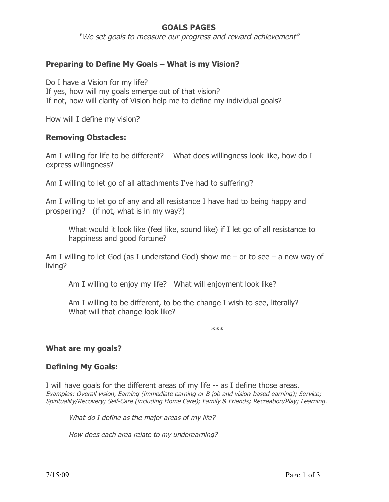# **GOALS PAGES**

"We set goals to measure our progress and reward achievement"

## **Preparing to Define My Goals – What is my Vision?**

Do I have a Vision for my life? If yes, how will my goals emerge out of that vision? If not, how will clarity of Vision help me to define my individual goals?

How will I define my vision?

#### **Removing Obstacles:**

Am I willing for life to be different? What does willingness look like, how do I express willingness?

Am I willing to let go of all attachments I've had to suffering?

Am I willing to let go of any and all resistance I have had to being happy and prospering? (if not, what is in my way?)

What would it look like (feel like, sound like) if I let go of all resistance to happiness and good fortune?

Am I willing to let God (as I understand God) show me – or to see – a new way of living?

Am I willing to enjoy my life? What will enjoyment look like?

Am I willing to be different, to be the change I wish to see, literally? What will that change look like?

\*\*\*

#### **What are my goals?**

#### **Defining My Goals:**

I will have goals for the different areas of my life -- as I define those areas. Examples: Overall vision, Earning (immediate earning or B-job and vision-based earning); Service; Spirituality/Recovery; Self-Care (including Home Care); Family & Friends; Recreation/Play; Learning.

What do I define as the major areas of my life?

How does each area relate to my underearning?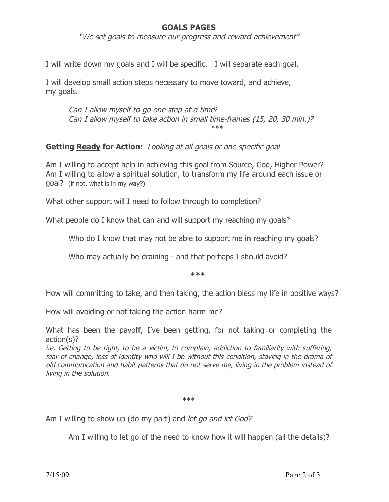## **GOALS PAGES**

"We set goals to measure our progress and reward achievement"

I will write down my goals and I will be specific. I will separate each goal.

I will develop small action steps necessary to move toward, and achieve, my goals.

Can I allow myself to go one step at a time? Can I allow myself to take action in small time-frames (15, 20, 30 min.)? \*\*\*

**Getting Ready for Action:** Looking at all goals or one specific goal

Am I willing to accept help in achieving this goal from Source, God, Higher Power? Am I willing to allow a spiritual solution, to transform my life around each issue or goal? (if not, what is in my way?)

What other support will I need to follow through to completion?

What people do I know that can and will support my reaching my goals?

Who do I know that may not be able to support me in reaching my goals?

Who may actually be draining - and that perhaps I should avoid?

**\*\*\***

How will committing to take, and then taking, the action bless my life in positive ways?

How will avoiding or not taking the action harm me?

What has been the payoff, I've been getting, for not taking or completing the action(s)?

i.e. Getting to be right, to be a victim, to complain, addiction to familiarity with suffering, fear of change, loss of identity who will I be without this condition, staying in the drama of old communication and habit patterns that do not serve me, living in the problem instead of living in the solution.

\*\*\*

Am I willing to show up (do my part) and *let go and let God?* 

Am I willing to let go of the need to know how it will happen (all the details)?